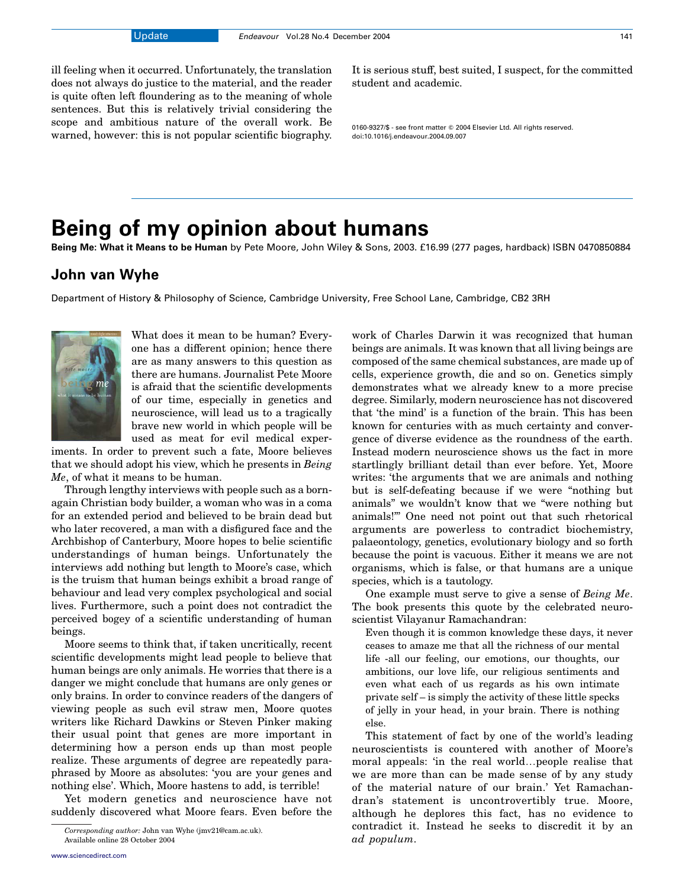ill feeling when it occurred. Unfortunately, the translation does not always do justice to the material, and the reader is quite often left floundering as to the meaning of whole sentences. But this is relatively trivial considering the scope and ambitious nature of the overall work. Be warned, however: this is not popular scientific biography.

It is serious stuff, best suited, I suspect, for the committed student and academic.

0160-9327/\$ - see front matter © 2004 Elsevier Ltd. All rights reserved. doi:10.1016/j.endeavour.2004.09.007

## Being of my opinion about humans

Being Me: What it Means to be Human by Pete Moore, John Wiley & Sons, 2003. £16.99 (277 pages, hardback) ISBN 0470850884

## John van Wyhe

Department of History & Philosophy of Science, Cambridge University, Free School Lane, Cambridge, CB2 3RH



What does it mean to be human? Everyone has a different opinion; hence there are as many answers to this question as there are humans. Journalist Pete Moore is afraid that the scientific developments of our time, especially in genetics and neuroscience, will lead us to a tragically brave new world in which people will be used as meat for evil medical exper-

iments. In order to prevent such a fate, Moore believes that we should adopt his view, which he presents in Being Me, of what it means to be human.

Through lengthy interviews with people such as a bornagain Christian body builder, a woman who was in a coma for an extended period and believed to be brain dead but who later recovered, a man with a disfigured face and the Archbishop of Canterbury, Moore hopes to belie scientific understandings of human beings. Unfortunately the interviews add nothing but length to Moore's case, which is the truism that human beings exhibit a broad range of behaviour and lead very complex psychological and social lives. Furthermore, such a point does not contradict the perceived bogey of a scientific understanding of human beings.

Moore seems to think that, if taken uncritically, recent scientific developments might lead people to believe that human beings are only animals. He worries that there is a danger we might conclude that humans are only genes or only brains. In order to convince readers of the dangers of viewing people as such evil straw men, Moore quotes writers like Richard Dawkins or Steven Pinker making their usual point that genes are more important in determining how a person ends up than most people realize. These arguments of degree are repeatedly paraphrased by Moore as absolutes: 'you are your genes and nothing else'. Which, Moore hastens to add, is terrible!

Yet modern genetics and neuroscience have not suddenly discovered what Moore fears. Even before the beings are animals. It was known that all living beings are composed of the same chemical substances, are made up of cells, experience growth, die and so on. Genetics simply demonstrates what we already knew to a more precise degree. Similarly, modern neuroscience has not discovered that 'the mind' is a function of the brain. This has been known for centuries with as much certainty and convergence of diverse evidence as the roundness of the earth. Instead modern neuroscience shows us the fact in more startlingly brilliant detail than ever before. Yet, Moore writes: 'the arguments that we are animals and nothing but is self-defeating because if we were "nothing but animals" we wouldn't know that we "were nothing but animals!"' One need not point out that such rhetorical arguments are powerless to contradict biochemistry, palaeontology, genetics, evolutionary biology and so forth because the point is vacuous. Either it means we are not organisms, which is false, or that humans are a unique species, which is a tautology.

work of Charles Darwin it was recognized that human

One example must serve to give a sense of Being Me. The book presents this quote by the celebrated neuroscientist Vilayanur Ramachandran:

Even though it is common knowledge these days, it never ceases to amaze me that all the richness of our mental life -all our feeling, our emotions, our thoughts, our ambitions, our love life, our religious sentiments and even what each of us regards as his own intimate private self – is simply the activity of these little specks of jelly in your head, in your brain. There is nothing else.

This statement of fact by one of the world's leading neuroscientists is countered with another of Moore's moral appeals: 'in the real world...people realise that we are more than can be made sense of by any study of the material nature of our brain.' Yet Ramachandran's statement is uncontrovertibly true. Moore, although he deplores this fact, has no evidence to contradict it. Instead he seeks to discredit it by an

Corresponding author: John van Wyhe (jmv21@cam.ac.uk). CONTRACTELE (U. CONTRACTELE 11.<br>Available online 28 October 2004 (U. Available online 28 October 2004) Available online 28 October 2004